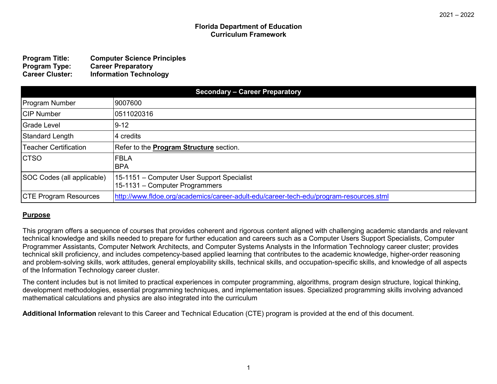#### **Florida Department of Education Curriculum Framework**

| <b>Program Title:</b>  | <b>Computer Science Principles</b> |
|------------------------|------------------------------------|
| <b>Program Type:</b>   | <b>Career Preparatory</b>          |
| <b>Career Cluster:</b> | <b>Information Technology</b>      |

| <b>Secondary - Career Preparatory</b> |                                                                                        |
|---------------------------------------|----------------------------------------------------------------------------------------|
| <b>Program Number</b>                 | 9007600                                                                                |
| <b>CIP Number</b>                     | 0511020316                                                                             |
| <b>Grade Level</b>                    | $ 9-12 $                                                                               |
| <b>Standard Length</b>                | 4 credits                                                                              |
| <b>Teacher Certification</b>          | Refer to the <b>Program Structure</b> section.                                         |
| <b>CTSO</b>                           | <b>IFBLA</b><br><b>BPA</b>                                                             |
| SOC Codes (all applicable)            | 15-1151 – Computer User Support Specialist<br>15-1131 – Computer Programmers           |
| <b>CTE Program Resources</b>          | http://www.fldoe.org/academics/career-adult-edu/career-tech-edu/program-resources.stml |

## **Purpose**

This program offers a sequence of courses that provides coherent and rigorous content aligned with challenging academic standards and relevant technical knowledge and skills needed to prepare for further education and careers such as a Computer Users Support Specialists, Computer Programmer Assistants, Computer Network Architects, and Computer Systems Analysts in the Information Technology career cluster; provides technical skill proficiency, and includes competency-based applied learning that contributes to the academic knowledge, higher-order reasoning and problem-solving skills, work attitudes, general employability skills, technical skills, and occupation-specific skills, and knowledge of all aspects of the Information Technology career cluster.

The content includes but is not limited to practical experiences in computer programming, algorithms, program design structure, logical thinking, development methodologies, essential programming techniques, and implementation issues. Specialized programming skills involving advanced mathematical calculations and physics are also integrated into the curriculum

**Additional Information** relevant to this Career and Technical Education (CTE) program is provided at the end of this document.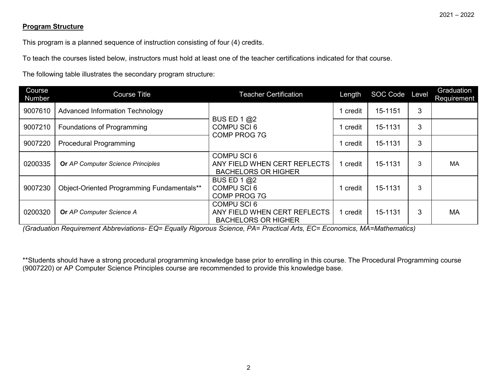## **Program Structure**

This program is a planned sequence of instruction consisting of four (4) credits.

To teach the courses listed below, instructors must hold at least one of the teacher certifications indicated for that course.

The following table illustrates the secondary program structure:

| Course<br>Number | <b>Course Title</b>                        | <b>Teacher Certification</b>                                                     | Length   | SOC Code Level |   | Graduation<br><b>Requirement</b> |
|------------------|--------------------------------------------|----------------------------------------------------------------------------------|----------|----------------|---|----------------------------------|
| 9007610          | Advanced Information Technology            | BUS ED 1 $@2$                                                                    | credit   | 15-1151        | 3 |                                  |
| 9007210          | Foundations of Programming                 | <b>COMPU SCI 6</b><br><b>COMP PROG 7G</b>                                        | credit   | 15-1131        | 3 |                                  |
| 9007220          | <b>Procedural Programming</b>              |                                                                                  | credit   | 15-1131        | 3 |                                  |
| 0200335          | <b>Or AP Computer Science Principles</b>   | <b>COMPU SCI 6</b><br>ANY FIELD WHEN CERT REFLECTS<br><b>BACHELORS OR HIGHER</b> | credit   | 15-1131        | 3 | MA                               |
| 9007230          | Object-Oriented Programming Fundamentals** | BUS ED 1 @2<br><b>COMPU SCI6</b><br><b>COMP PROG 7G</b>                          | ' credit | 15-1131        | 3 |                                  |
| 0200320          | Or AP Computer Science A                   | COMPU SCI6<br>ANY FIELD WHEN CERT REFLECTS<br><b>BACHELORS OR HIGHER</b>         | credit   | 15-1131        | 3 | <b>MA</b>                        |

*(Graduation Requirement Abbreviations- EQ= Equally Rigorous Science, PA= Practical Arts, EC= Economics, MA=Mathematics)*

\*\*Students should have a strong procedural programming knowledge base prior to enrolling in this course. The Procedural Programming course (9007220) or AP Computer Science Principles course are recommended to provide this knowledge base.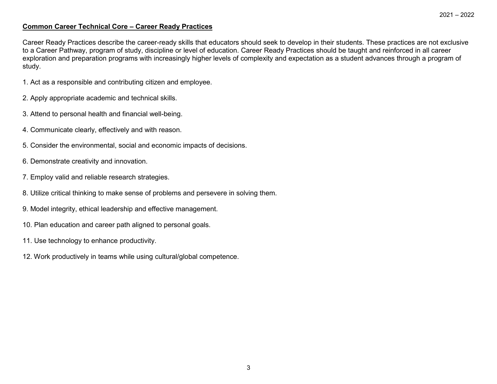#### **Common Career Technical Core – Career Ready Practices**

Career Ready Practices describe the career-ready skills that educators should seek to develop in their students. These practices are not exclusive to a Career Pathway, program of study, discipline or level of education. Career Ready Practices should be taught and reinforced in all career exploration and preparation programs with increasingly higher levels of complexity and expectation as a student advances through a program of study.

- 1. Act as a responsible and contributing citizen and employee.
- 2. Apply appropriate academic and technical skills.
- 3. Attend to personal health and financial well-being.
- 4. Communicate clearly, effectively and with reason.
- 5. Consider the environmental, social and economic impacts of decisions.
- 6. Demonstrate creativity and innovation.
- 7. Employ valid and reliable research strategies.
- 8. Utilize critical thinking to make sense of problems and persevere in solving them.
- 9. Model integrity, ethical leadership and effective management.
- 10. Plan education and career path aligned to personal goals.
- 11. Use technology to enhance productivity.
- 12. Work productively in teams while using cultural/global competence.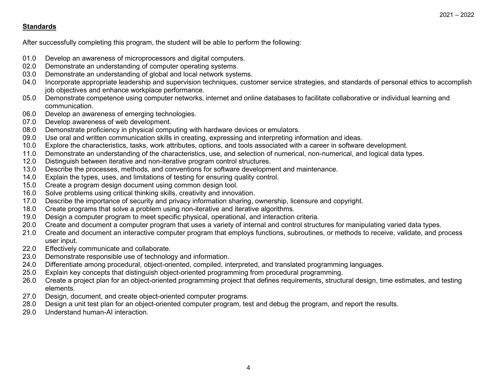## **Standards**

After successfully completing this program, the student will be able to perform the following:

- 01.0 Develop an awareness of microprocessors and digital computers.<br>02.0 Demonstrate an understanding of computer operating systems.
- 02.0 Demonstrate an understanding of computer operating systems.<br>03.0 Demonstrate an understanding of global and local network system
- Demonstrate an understanding of global and local network systems.
- 04.0 Incorporate appropriate leadership and supervision techniques, customer service strategies, and standards of personal ethics to accomplish job objectives and enhance workplace performance.
- 05.0 Demonstrate competence using computer networks, internet and online databases to facilitate collaborative or individual learning and communication.
- 06.0 Develop an awareness of emerging technologies.
- 07.0 Develop awareness of web development.
- 08.0 Demonstrate proficiency in physical computing with hardware devices or emulators.
- 09.0 Use oral and written communication skills in creating, expressing and interpreting information and ideas.
- 10.0 Explore the characteristics, tasks, work attributes, options, and tools associated with a career in software development.
- 11.0 Demonstrate an understanding of the characteristics, use, and selection of numerical, non-numerical, and logical data types.
- 12.0 Distinguish between iterative and non-iterative program control structures.<br>13.0 Describe the processes, methods, and conventions for software developm
- 13.0 Describe the processes, methods, and conventions for software development and maintenance.
- 14.0 Explain the types, uses, and limitations of testing for ensuring quality control.
- 15.0 Create a program design document using common design tool.
- 16.0 Solve problems using critical thinking skills, creativity and innovation.
- 17.0 Describe the importance of security and privacy information sharing, ownership, licensure and copyright.
- 18.0 Create programs that solve a problem using non-iterative and iterative algorithms.
- 19.0 Design a computer program to meet specific physical, operational, and interaction criteria.
- 20.0 Create and document a computer program that uses a variety of internal and control structures for manipulating varied data types.
- 21.0 Create and document an interactive computer program that employs functions, subroutines, or methods to receive, validate, and process user input.
- 22.0 Effectively communicate and collaborate.
- 23.0 Demonstrate responsible use of technology and information.
- 24.0 Differentiate among procedural, object-oriented, compiled, interpreted, and translated programming languages.
- 25.0 Explain key concepts that distinguish object-oriented programming from procedural programming.
- 26.0 Create a project plan for an object-oriented programming project that defines requirements, structural design, time estimates, and testing elements.
- 27.0 Design, document, and create object-oriented computer programs.<br>28.0 Design a unit test plan for an object-oriented computer program. tes
- Design a unit test plan for an object-oriented computer program, test and debug the program, and report the results.
- 29.0 Understand human-AI interaction.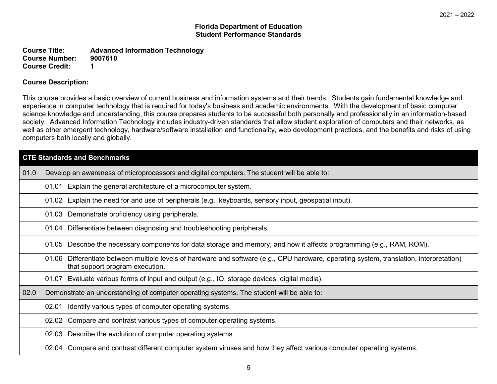#### **Florida Department of Education Student Performance Standards**

**Course Title: Advanced Information Technology Course Number: Course Credit: 1**

### **Course Description:**

This course provides a basic overview of current business and information systems and their trends. Students gain fundamental knowledge and experience in computer technology that is required for today's business and academic environments. With the development of basic computer science knowledge and understanding, this course prepares students to be successful both personally and professionally in an information-based society. Advanced Information Technology includes industry-driven standards that allow student exploration of computers and their networks, as well as other emergent technology, hardware/software installation and functionality, web development practices, and the benefits and risks of using computers both locally and globally.

|      | <b>CTE Standards and Benchmarks</b>                                                                                                                                         |  |  |
|------|-----------------------------------------------------------------------------------------------------------------------------------------------------------------------------|--|--|
| 01.0 | Develop an awareness of microprocessors and digital computers. The student will be able to:                                                                                 |  |  |
|      | 01.01 Explain the general architecture of a microcomputer system.                                                                                                           |  |  |
|      | 01.02 Explain the need for and use of peripherals (e.g., keyboards, sensory input, geospatial input).                                                                       |  |  |
|      | 01.03 Demonstrate proficiency using peripherals.                                                                                                                            |  |  |
|      | 01.04 Differentiate between diagnosing and troubleshooting peripherals.                                                                                                     |  |  |
|      | 01.05 Describe the necessary components for data storage and memory, and how it affects programming (e.g., RAM, ROM).                                                       |  |  |
|      | 01.06 Differentiate between multiple levels of hardware and software (e.g., CPU hardware, operating system, translation, interpretation)<br>that support program execution. |  |  |
|      | 01.07 Evaluate various forms of input and output (e.g., IO, storage devices, digital media).                                                                                |  |  |
| 02.0 | Demonstrate an understanding of computer operating systems. The student will be able to:                                                                                    |  |  |
|      | Identify various types of computer operating systems.<br>02.01                                                                                                              |  |  |
|      | 02.02 Compare and contrast various types of computer operating systems.                                                                                                     |  |  |
|      | 02.03 Describe the evolution of computer operating systems.                                                                                                                 |  |  |
|      | 02.04 Compare and contrast different computer system viruses and how they affect various computer operating systems.                                                        |  |  |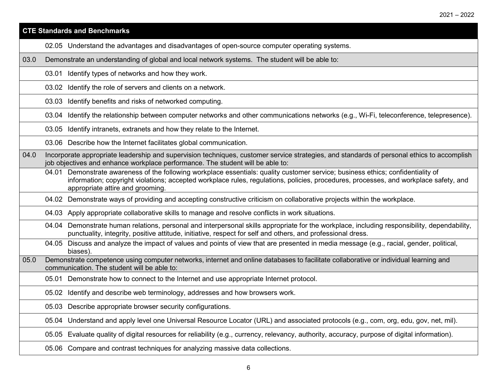|      | <b>CTE Standards and Benchmarks</b>                                                                                                                                                                                                                                                                          |  |  |
|------|--------------------------------------------------------------------------------------------------------------------------------------------------------------------------------------------------------------------------------------------------------------------------------------------------------------|--|--|
|      | 02.05 Understand the advantages and disadvantages of open-source computer operating systems.                                                                                                                                                                                                                 |  |  |
| 03.0 | Demonstrate an understanding of global and local network systems. The student will be able to:                                                                                                                                                                                                               |  |  |
|      | 03.01 Identify types of networks and how they work.                                                                                                                                                                                                                                                          |  |  |
|      | 03.02 Identify the role of servers and clients on a network.                                                                                                                                                                                                                                                 |  |  |
|      | 03.03 Identify benefits and risks of networked computing.                                                                                                                                                                                                                                                    |  |  |
|      | 03.04 Identify the relationship between computer networks and other communications networks (e.g., Wi-Fi, teleconference, telepresence).                                                                                                                                                                     |  |  |
|      | 03.05 Identify intranets, extranets and how they relate to the Internet.                                                                                                                                                                                                                                     |  |  |
|      | 03.06 Describe how the Internet facilitates global communication.                                                                                                                                                                                                                                            |  |  |
| 04.0 | Incorporate appropriate leadership and supervision techniques, customer service strategies, and standards of personal ethics to accomplish<br>job objectives and enhance workplace performance. The student will be able to:                                                                                 |  |  |
|      | 04.01 Demonstrate awareness of the following workplace essentials: quality customer service; business ethics; confidentiality of<br>information; copyright violations; accepted workplace rules, regulations, policies, procedures, processes, and workplace safety, and<br>appropriate attire and grooming. |  |  |
|      | 04.02 Demonstrate ways of providing and accepting constructive criticism on collaborative projects within the workplace.                                                                                                                                                                                     |  |  |
|      | 04.03 Apply appropriate collaborative skills to manage and resolve conflicts in work situations.                                                                                                                                                                                                             |  |  |
|      | Demonstrate human relations, personal and interpersonal skills appropriate for the workplace, including responsibility, dependability,<br>04.04<br>punctuality, integrity, positive attitude, initiative, respect for self and others, and professional dress.                                               |  |  |
|      | 04.05 Discuss and analyze the impact of values and points of view that are presented in media message (e.g., racial, gender, political,<br>biases).                                                                                                                                                          |  |  |
| 05.0 | Demonstrate competence using computer networks, internet and online databases to facilitate collaborative or individual learning and<br>communication. The student will be able to:                                                                                                                          |  |  |
|      | 05.01 Demonstrate how to connect to the Internet and use appropriate Internet protocol.                                                                                                                                                                                                                      |  |  |
|      | 05.02 Identify and describe web terminology, addresses and how browsers work.                                                                                                                                                                                                                                |  |  |
|      | 05.03 Describe appropriate browser security configurations.                                                                                                                                                                                                                                                  |  |  |
|      | 05.04 Understand and apply level one Universal Resource Locator (URL) and associated protocols (e.g., com, org, edu, gov, net, mil).                                                                                                                                                                         |  |  |
|      | 05.05 Evaluate quality of digital resources for reliability (e.g., currency, relevancy, authority, accuracy, purpose of digital information).                                                                                                                                                                |  |  |
|      | 05.06 Compare and contrast techniques for analyzing massive data collections.                                                                                                                                                                                                                                |  |  |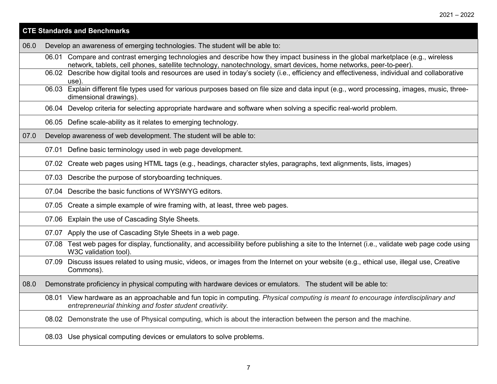|      | <b>CTE Standards and Benchmarks</b>                                                                                                                                                                                                                   |
|------|-------------------------------------------------------------------------------------------------------------------------------------------------------------------------------------------------------------------------------------------------------|
| 06.0 | Develop an awareness of emerging technologies. The student will be able to:                                                                                                                                                                           |
|      | 06.01 Compare and contrast emerging technologies and describe how they impact business in the global marketplace (e.g., wireless<br>network, tablets, cell phones, satellite technology, nanotechnology, smart devices, home networks, peer-to-peer). |
|      | 06.02 Describe how digital tools and resources are used in today's society (i.e., efficiency and effectiveness, individual and collaborative<br>use)                                                                                                  |
|      | 06.03 Explain different file types used for various purposes based on file size and data input (e.g., word processing, images, music, three-<br>dimensional drawings).                                                                                |
|      | 06.04 Develop criteria for selecting appropriate hardware and software when solving a specific real-world problem.                                                                                                                                    |
|      | 06.05 Define scale-ability as it relates to emerging technology.                                                                                                                                                                                      |
| 07.0 | Develop awareness of web development. The student will be able to:                                                                                                                                                                                    |
|      | 07.01 Define basic terminology used in web page development.                                                                                                                                                                                          |
|      | 07.02 Create web pages using HTML tags (e.g., headings, character styles, paragraphs, text alignments, lists, images)                                                                                                                                 |
|      | 07.03 Describe the purpose of storyboarding techniques.                                                                                                                                                                                               |
|      | 07.04 Describe the basic functions of WYSIWYG editors.                                                                                                                                                                                                |
|      | 07.05 Create a simple example of wire framing with, at least, three web pages.                                                                                                                                                                        |
|      | 07.06 Explain the use of Cascading Style Sheets.                                                                                                                                                                                                      |
|      | 07.07 Apply the use of Cascading Style Sheets in a web page.                                                                                                                                                                                          |
|      | 07.08 Test web pages for display, functionality, and accessibility before publishing a site to the Internet (i.e., validate web page code using<br>W3C validation tool).                                                                              |
|      | 07.09 Discuss issues related to using music, videos, or images from the Internet on your website (e.g., ethical use, illegal use, Creative<br>Commons).                                                                                               |
| 08.0 | Demonstrate proficiency in physical computing with hardware devices or emulators. The student will be able to:                                                                                                                                        |
|      | 08.01 View hardware as an approachable and fun topic in computing. Physical computing is meant to encourage interdisciplinary and<br>entrepreneurial thinking and foster student creativity.                                                          |
|      | 08.02 Demonstrate the use of Physical computing, which is about the interaction between the person and the machine.                                                                                                                                   |
|      | 08.03 Use physical computing devices or emulators to solve problems.                                                                                                                                                                                  |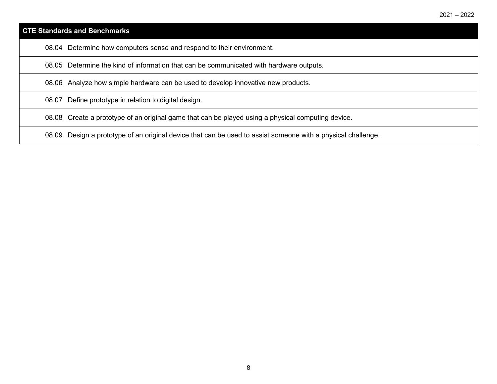| <b>CTE Standards and Benchmarks</b> |                                                                                         |
|-------------------------------------|-----------------------------------------------------------------------------------------|
|                                     | 08.04 Determine how computers sense and respond to their environment.                   |
|                                     | 08.05 Determine the kind of information that can be communicated with hardware outputs. |
|                                     | 08.06 Analyze how simple hardware can be used to develop innovative new products.       |
|                                     | 08.07 Define prototype in relation to digital design.                                   |

08.08 Create a prototype of an original game that can be played using a physical computing device.

08.09 Design a prototype of an original device that can be used to assist someone with a physical challenge.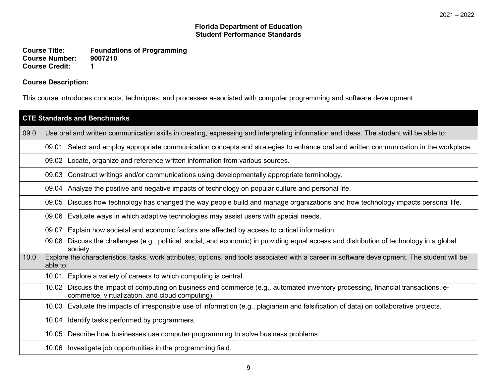#### **Florida Department of Education Student Performance Standards**

**Course Title: Foundations of Programming Course Number: 90<br>Course Credit: 1 Course Credit: 1**

## **Course Description:**

This course introduces concepts, techniques, and processes associated with computer programming and software development.

|      | <b>CTE Standards and Benchmarks</b>                                                                                                                                                 |  |
|------|-------------------------------------------------------------------------------------------------------------------------------------------------------------------------------------|--|
| 09.0 | Use oral and written communication skills in creating, expressing and interpreting information and ideas. The student will be able to:                                              |  |
|      | 09.01 Select and employ appropriate communication concepts and strategies to enhance oral and written communication in the workplace.                                               |  |
|      | 09.02 Locate, organize and reference written information from various sources.                                                                                                      |  |
|      | 09.03 Construct writings and/or communications using developmentally appropriate terminology.                                                                                       |  |
|      | 09.04 Analyze the positive and negative impacts of technology on popular culture and personal life.                                                                                 |  |
|      | 09.05 Discuss how technology has changed the way people build and manage organizations and how technology impacts personal life.                                                    |  |
|      | 09.06 Evaluate ways in which adaptive technologies may assist users with special needs.                                                                                             |  |
|      | Explain how societal and economic factors are affected by access to critical information.<br>09.07                                                                                  |  |
|      | Discuss the challenges (e.g., political, social, and economic) in providing equal access and distribution of technology in a global<br>09.08<br>society.                            |  |
| 10.0 | Explore the characteristics, tasks, work attributes, options, and tools associated with a career in software development. The student will be<br>able to:                           |  |
|      | 10.01 Explore a variety of careers to which computing is central.                                                                                                                   |  |
|      | 10.02 Discuss the impact of computing on business and commerce (e.g., automated inventory processing, financial transactions, e-<br>commerce, virtualization, and cloud computing). |  |
|      | 10.03 Evaluate the impacts of irresponsible use of information (e.g., plagiarism and falsification of data) on collaborative projects.                                              |  |
|      | 10.04 Identify tasks performed by programmers.                                                                                                                                      |  |
|      | 10.05 Describe how businesses use computer programming to solve business problems.                                                                                                  |  |
|      | 10.06 Investigate job opportunities in the programming field.                                                                                                                       |  |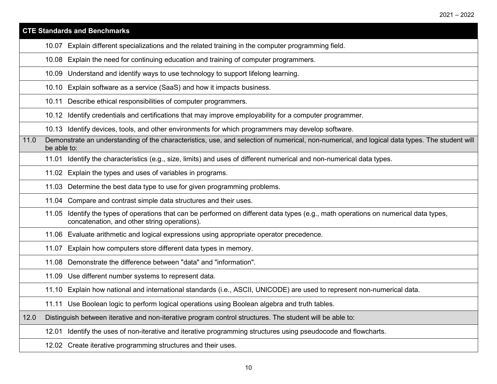|      | <b>CTE Standards and Benchmarks</b>                                                                                                                                                     |
|------|-----------------------------------------------------------------------------------------------------------------------------------------------------------------------------------------|
|      | Explain different specializations and the related training in the computer programming field.<br>10.07                                                                                  |
|      | 10.08 Explain the need for continuing education and training of computer programmers.                                                                                                   |
|      | 10.09 Understand and identify ways to use technology to support lifelong learning.                                                                                                      |
|      | Explain software as a service (SaaS) and how it impacts business.<br>10.10                                                                                                              |
|      | 10.11 Describe ethical responsibilities of computer programmers.                                                                                                                        |
|      | 10.12 Identify credentials and certifications that may improve employability for a computer programmer.                                                                                 |
|      | 10.13 Identify devices, tools, and other environments for which programmers may develop software.                                                                                       |
| 11.0 | Demonstrate an understanding of the characteristics, use, and selection of numerical, non-numerical, and logical data types. The student will<br>be able to:                            |
|      | Identify the characteristics (e.g., size, limits) and uses of different numerical and non-numerical data types.<br>11.01                                                                |
|      | 11.02 Explain the types and uses of variables in programs.                                                                                                                              |
|      | 11.03 Determine the best data type to use for given programming problems.                                                                                                               |
|      | 11.04 Compare and contrast simple data structures and their uses.                                                                                                                       |
|      | Identify the types of operations that can be performed on different data types (e.g., math operations on numerical data types,<br>11.05<br>concatenation, and other string operations). |
|      | Evaluate arithmetic and logical expressions using appropriate operator precedence.<br>11.06                                                                                             |
|      | Explain how computers store different data types in memory.<br>11.07                                                                                                                    |
|      | Demonstrate the difference between "data" and "information".<br>11.08                                                                                                                   |
|      | 11.09 Use different number systems to represent data.                                                                                                                                   |
|      | 11.10 Explain how national and international standards (i.e., ASCII, UNICODE) are used to represent non-numerical data.                                                                 |
|      | 11.11 Use Boolean logic to perform logical operations using Boolean algebra and truth tables.                                                                                           |
| 12.0 | Distinguish between iterative and non-iterative program control structures. The student will be able to:                                                                                |
|      | Identify the uses of non-iterative and iterative programming structures using pseudocode and flowcharts.<br>12.01                                                                       |
|      | 12.02 Create iterative programming structures and their uses.                                                                                                                           |
|      |                                                                                                                                                                                         |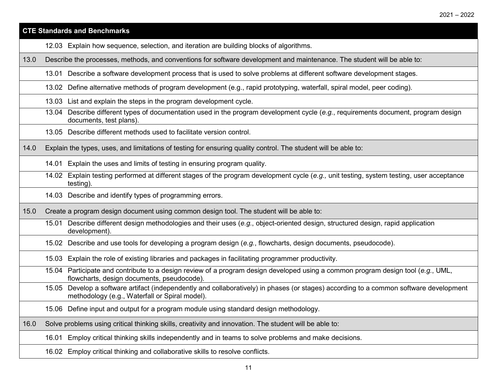#### **CTE Standards and Benchmarks**

- 12.03 Explain how sequence, selection, and iteration are building blocks of algorithms.
- 13.0 Describe the processes, methods, and conventions for software development and maintenance. The student will be able to:
	- 13.01 Describe a software development process that is used to solve problems at different software development stages.
	- 13.02 Define alternative methods of program development (e.g., rapid prototyping, waterfall, spiral model, peer coding).
	- 13.03 List and explain the steps in the program development cycle.
	- 13.04 Describe different types of documentation used in the program development cycle (*e.g.*, requirements document, program design documents, test plans).
	- 13.05 Describe different methods used to facilitate version control.

14.0 Explain the types, uses, and limitations of testing for ensuring quality control. The student will be able to:

- 14.01 Explain the uses and limits of testing in ensuring program quality.
- 14.02 Explain testing performed at different stages of the program development cycle (*e.g.,* unit testing, system testing, user acceptance testing).
- 14.03 Describe and identify types of programming errors.

15.0 Create a program design document using common design tool. The student will be able to:

- 15.01 Describe different design methodologies and their uses (*e.g.*, object-oriented design, structured design, rapid application development).
- 15.02 Describe and use tools for developing a program design (*e.g.*, flowcharts, design documents, pseudocode).

15.03 Explain the role of existing libraries and packages in facilitating programmer productivity.

15.04 Participate and contribute to a design review of a program design developed using a common program design tool (*e.g.*, UML, flowcharts, design documents, pseudocode).

- 15.05 Develop a software artifact (independently and collaboratively) in phases (or stages) according to a common software development methodology (e.g., Waterfall or Spiral model).
- 15.06 Define input and output for a program module using standard design methodology.

16.0 Solve problems using critical thinking skills, creativity and innovation. The student will be able to:

16.01 Employ critical thinking skills independently and in teams to solve problems and make decisions.

16.02 Employ critical thinking and collaborative skills to resolve conflicts.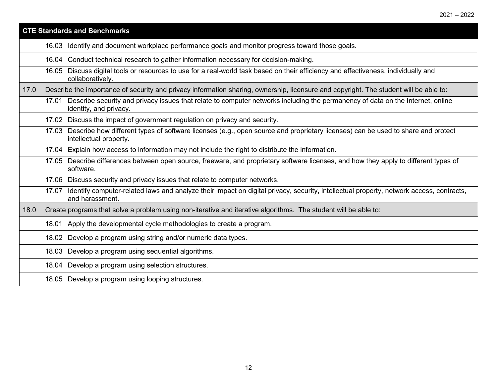|      | <b>CTE Standards and Benchmarks</b> |                                                                                                                                                                 |  |
|------|-------------------------------------|-----------------------------------------------------------------------------------------------------------------------------------------------------------------|--|
|      |                                     | 16.03 Identify and document workplace performance goals and monitor progress toward those goals.                                                                |  |
|      |                                     | 16.04 Conduct technical research to gather information necessary for decision-making.                                                                           |  |
|      |                                     | 16.05 Discuss digital tools or resources to use for a real-world task based on their efficiency and effectiveness, individually and<br>collaboratively.         |  |
| 17.0 |                                     | Describe the importance of security and privacy information sharing, ownership, licensure and copyright. The student will be able to:                           |  |
|      |                                     | 17.01 Describe security and privacy issues that relate to computer networks including the permanency of data on the Internet, online<br>identity, and privacy.  |  |
|      |                                     | 17.02 Discuss the impact of government regulation on privacy and security.                                                                                      |  |
|      |                                     | 17.03 Describe how different types of software licenses (e.g., open source and proprietary licenses) can be used to share and protect<br>intellectual property. |  |
|      |                                     | 17.04 Explain how access to information may not include the right to distribute the information.                                                                |  |
|      |                                     | 17.05 Describe differences between open source, freeware, and proprietary software licenses, and how they apply to different types of<br>software.              |  |
|      |                                     | 17.06 Discuss security and privacy issues that relate to computer networks.                                                                                     |  |
|      | 17.07                               | Identify computer-related laws and analyze their impact on digital privacy, security, intellectual property, network access, contracts,<br>and harassment.      |  |
| 18.0 |                                     | Create programs that solve a problem using non-iterative and iterative algorithms. The student will be able to:                                                 |  |
|      |                                     | 18.01 Apply the developmental cycle methodologies to create a program.                                                                                          |  |
|      |                                     | 18.02 Develop a program using string and/or numeric data types.                                                                                                 |  |
|      |                                     | 18.03 Develop a program using sequential algorithms.                                                                                                            |  |
|      |                                     | 18.04 Develop a program using selection structures.                                                                                                             |  |
|      |                                     | 18.05 Develop a program using looping structures.                                                                                                               |  |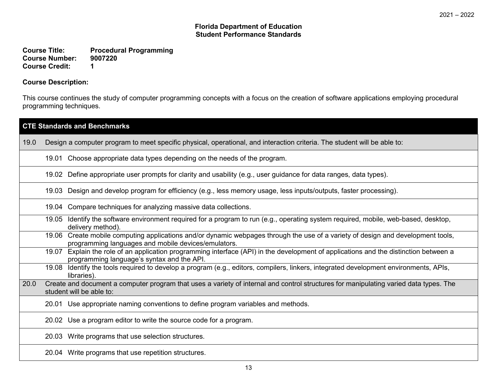**Course Title: Procedural Programming Course Number: 90**<br>Course Credit: 1 **Course Credit: 1**

## **Course Description:**

This course continues the study of computer programming concepts with a focus on the creation of software applications employing procedural programming techniques.

|      | <b>CTE Standards and Benchmarks</b>                                                                                                                                                     |  |
|------|-----------------------------------------------------------------------------------------------------------------------------------------------------------------------------------------|--|
| 19.0 | Design a computer program to meet specific physical, operational, and interaction criteria. The student will be able to:                                                                |  |
|      | 19.01 Choose appropriate data types depending on the needs of the program.                                                                                                              |  |
|      | 19.02 Define appropriate user prompts for clarity and usability (e.g., user guidance for data ranges, data types).                                                                      |  |
|      | 19.03 Design and develop program for efficiency (e.g., less memory usage, less inputs/outputs, faster processing).                                                                      |  |
|      | 19.04 Compare techniques for analyzing massive data collections.                                                                                                                        |  |
|      | 19.05 Identify the software environment required for a program to run (e.g., operating system required, mobile, web-based, desktop,<br>delivery method).                                |  |
|      | 19.06 Create mobile computing applications and/or dynamic webpages through the use of a variety of design and development tools,<br>programming languages and mobile devices/emulators. |  |
|      | 19.07 Explain the role of an application programming interface (API) in the development of applications and the distinction between a<br>programming language's syntax and the API.     |  |
|      | 19.08 Identify the tools required to develop a program (e.g., editors, compilers, linkers, integrated development environments, APIs,<br>libraries).                                    |  |
| 20.0 | Create and document a computer program that uses a variety of internal and control structures for manipulating varied data types. The<br>student will be able to:                       |  |
|      | 20.01 Use appropriate naming conventions to define program variables and methods.                                                                                                       |  |
|      | 20.02 Use a program editor to write the source code for a program.                                                                                                                      |  |
|      | 20.03 Write programs that use selection structures.                                                                                                                                     |  |
|      | 20.04 Write programs that use repetition structures.                                                                                                                                    |  |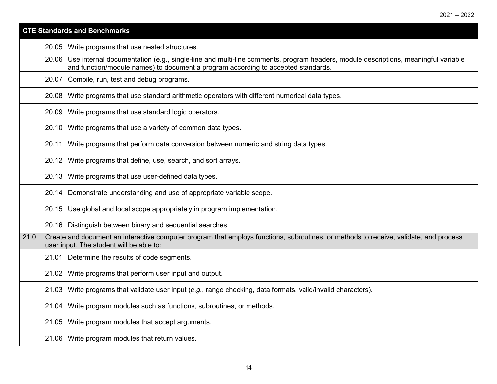#### **CTE Standards and Benchmarks**

20.05 Write programs that use nested structures.

20.06 Use internal documentation (e.g., single-line and multi-line comments, program headers, module descriptions, meaningful variable and function/module names) to document a program according to accepted standards.

20.07 Compile, run, test and debug programs.

20.08 Write programs that use standard arithmetic operators with different numerical data types.

20.09 Write programs that use standard logic operators.

20.10 Write programs that use a variety of common data types.

20.11 Write programs that perform data conversion between numeric and string data types.

20.12 Write programs that define, use, search, and sort arrays.

20.13 Write programs that use user-defined data types.

20.14 Demonstrate understanding and use of appropriate variable scope.

20.15 Use global and local scope appropriately in program implementation.

20.16 Distinguish between binary and sequential searches.

21.0 Create and document an interactive computer program that employs functions, subroutines, or methods to receive, validate, and process user input. The student will be able to:

21.01 Determine the results of code segments.

21.02 Write programs that perform user input and output.

21.03 Write programs that validate user input (*e.g.*, range checking, data formats, valid/invalid characters).

21.04 Write program modules such as functions, subroutines, or methods.

21.05 Write program modules that accept arguments.

21.06 Write program modules that return values.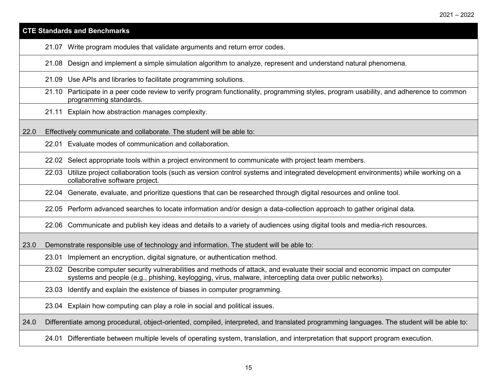|      | <b>CTE Standards and Benchmarks</b>                                                                                                                                                                                                           |
|------|-----------------------------------------------------------------------------------------------------------------------------------------------------------------------------------------------------------------------------------------------|
|      | 21.07 Write program modules that validate arguments and return error codes.                                                                                                                                                                   |
|      | 21.08 Design and implement a simple simulation algorithm to analyze, represent and understand natural phenomena.                                                                                                                              |
|      | 21.09 Use APIs and libraries to facilitate programming solutions.                                                                                                                                                                             |
|      | 21.10 Participate in a peer code review to verify program functionality, programming styles, program usability, and adherence to common<br>programming standards.                                                                             |
|      | 21.11 Explain how abstraction manages complexity.                                                                                                                                                                                             |
| 22.0 | Effectively communicate and collaborate. The student will be able to:                                                                                                                                                                         |
|      | 22.01 Evaluate modes of communication and collaboration.                                                                                                                                                                                      |
|      | 22.02 Select appropriate tools within a project environment to communicate with project team members.                                                                                                                                         |
|      | Utilize project collaboration tools (such as version control systems and integrated development environments) while working on a<br>22.03<br>collaborative software project.                                                                  |
|      | 22.04 Generate, evaluate, and prioritize questions that can be researched through digital resources and online tool.                                                                                                                          |
|      | 22.05 Perform advanced searches to locate information and/or design a data-collection approach to gather original data.                                                                                                                       |
|      | 22.06 Communicate and publish key ideas and details to a variety of audiences using digital tools and media-rich resources.                                                                                                                   |
| 23.0 | Demonstrate responsible use of technology and information. The student will be able to:                                                                                                                                                       |
|      | 23.01 Implement an encryption, digital signature, or authentication method.                                                                                                                                                                   |
|      | 23.02 Describe computer security vulnerabilities and methods of attack, and evaluate their social and economic impact on computer<br>systems and people (e.g., phishing, keylogging, virus, malware, intercepting data over public networks). |
|      | 23.03 Identify and explain the existence of biases in computer programming.                                                                                                                                                                   |
|      | 23.04 Explain how computing can play a role in social and political issues.                                                                                                                                                                   |
| 24.0 | Differentiate among procedural, object-oriented, compiled, interpreted, and translated programming languages. The student will be able to:                                                                                                    |
|      | 24.01 Differentiate between multiple levels of operating system, translation, and interpretation that support program execution.                                                                                                              |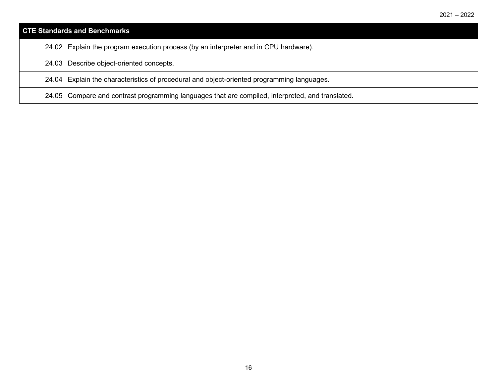| <b>CTE Standards and Benchmarks</b>                                                              |
|--------------------------------------------------------------------------------------------------|
| 24.02 Explain the program execution process (by an interpreter and in CPU hardware).             |
| 24.03 Describe object-oriented concepts.                                                         |
| 24.04 Explain the characteristics of procedural and object-oriented programming languages.       |
| 24.05 Compare and contrast programming languages that are compiled, interpreted, and translated. |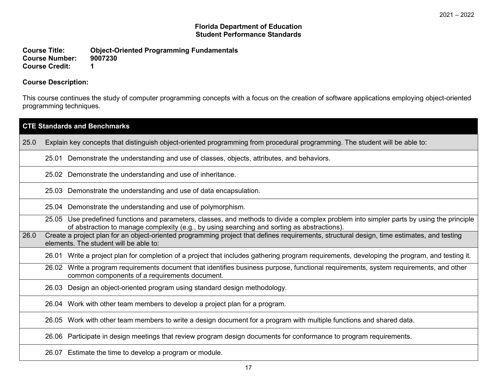#### **Florida Department of Education Student Performance Standards**

**Course Title: Object-Oriented Programming Fundamentals Course Number: 90**<br>Course Credit: 1 **Course Credit: 1**

# **Course Description:**

This course continues the study of computer programming concepts with a focus on the creation of software applications employing object-oriented programming techniques.

| <b>CTE Standards and Benchmarks</b> |                                                                                                                                                                                                                                          |  |  |
|-------------------------------------|------------------------------------------------------------------------------------------------------------------------------------------------------------------------------------------------------------------------------------------|--|--|
| 25.0                                | Explain key concepts that distinguish object-oriented programming from procedural programming. The student will be able to:                                                                                                              |  |  |
|                                     | Demonstrate the understanding and use of classes, objects, attributes, and behaviors.<br>25.01                                                                                                                                           |  |  |
|                                     | 25.02 Demonstrate the understanding and use of inheritance.                                                                                                                                                                              |  |  |
|                                     | 25.03 Demonstrate the understanding and use of data encapsulation.                                                                                                                                                                       |  |  |
|                                     | 25.04 Demonstrate the understanding and use of polymorphism.                                                                                                                                                                             |  |  |
|                                     | 25.05 Use predefined functions and parameters, classes, and methods to divide a complex problem into simpler parts by using the principle<br>of abstraction to manage complexity (e.g., by using searching and sorting as abstractions). |  |  |
| 26.0                                | Create a project plan for an object-oriented programming project that defines requirements, structural design, time estimates, and testing<br>elements. The student will be able to:                                                     |  |  |
|                                     | 26.01 Write a project plan for completion of a project that includes gathering program requirements, developing the program, and testing it.                                                                                             |  |  |
|                                     | 26.02 Write a program requirements document that identifies business purpose, functional requirements, system requirements, and other<br>common components of a requirements document.                                                   |  |  |
|                                     | 26.03 Design an object-oriented program using standard design methodology.                                                                                                                                                               |  |  |
|                                     | 26.04 Work with other team members to develop a project plan for a program.                                                                                                                                                              |  |  |
|                                     | 26.05 Work with other team members to write a design document for a program with multiple functions and shared data.                                                                                                                     |  |  |
|                                     | Participate in design meetings that review program design documents for conformance to program requirements.<br>26.06                                                                                                                    |  |  |
|                                     | 26.07 Estimate the time to develop a program or module.                                                                                                                                                                                  |  |  |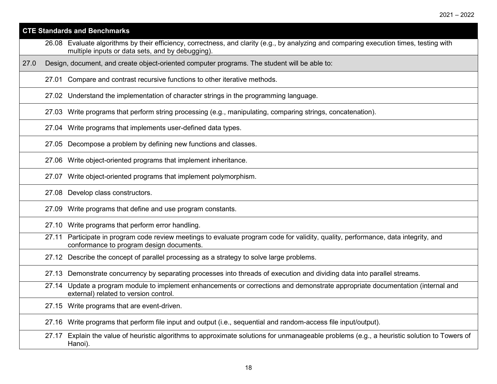| <b>CTE Standards and Benchmarks</b> |                                                                                                                                                                                             |  |
|-------------------------------------|---------------------------------------------------------------------------------------------------------------------------------------------------------------------------------------------|--|
|                                     | 26.08 Evaluate algorithms by their efficiency, correctness, and clarity (e.g., by analyzing and comparing execution times, testing with<br>multiple inputs or data sets, and by debugging). |  |
| 27.0                                | Design, document, and create object-oriented computer programs. The student will be able to:                                                                                                |  |
|                                     | 27.01 Compare and contrast recursive functions to other iterative methods.                                                                                                                  |  |
|                                     | 27.02 Understand the implementation of character strings in the programming language.                                                                                                       |  |
|                                     | 27.03 Write programs that perform string processing (e.g., manipulating, comparing strings, concatenation).                                                                                 |  |
|                                     | 27.04 Write programs that implements user-defined data types.                                                                                                                               |  |
|                                     | 27.05 Decompose a problem by defining new functions and classes.                                                                                                                            |  |
|                                     | Write object-oriented programs that implement inheritance.<br>27.06                                                                                                                         |  |
|                                     | Write object-oriented programs that implement polymorphism.<br>27.07                                                                                                                        |  |
|                                     | 27.08 Develop class constructors.                                                                                                                                                           |  |
|                                     | Write programs that define and use program constants.<br>27.09                                                                                                                              |  |
|                                     | 27.10 Write programs that perform error handling.                                                                                                                                           |  |
|                                     | Participate in program code review meetings to evaluate program code for validity, quality, performance, data integrity, and<br>27.11<br>conformance to program design documents.           |  |
|                                     | 27.12 Describe the concept of parallel processing as a strategy to solve large problems.                                                                                                    |  |
|                                     | 27.13 Demonstrate concurrency by separating processes into threads of execution and dividing data into parallel streams.                                                                    |  |
|                                     | Update a program module to implement enhancements or corrections and demonstrate appropriate documentation (internal and<br>27.14<br>external) related to version control.                  |  |
|                                     | 27.15 Write programs that are event-driven.                                                                                                                                                 |  |
|                                     | Write programs that perform file input and output (i.e., sequential and random-access file input/output).<br>27.16                                                                          |  |
|                                     | Explain the value of heuristic algorithms to approximate solutions for unmanageable problems (e.g., a heuristic solution to Towers of<br>27.17<br>Hanoi).                                   |  |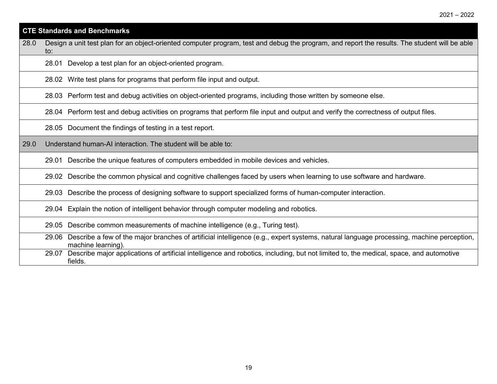| <b>CTE Standards and Benchmarks</b> |                                                                                                                                                                     |  |  |  |
|-------------------------------------|---------------------------------------------------------------------------------------------------------------------------------------------------------------------|--|--|--|
| 28.0                                | Design a unit test plan for an object-oriented computer program, test and debug the program, and report the results. The student will be able<br>to:                |  |  |  |
|                                     | 28.01 Develop a test plan for an object-oriented program.                                                                                                           |  |  |  |
|                                     | 28.02 Write test plans for programs that perform file input and output.                                                                                             |  |  |  |
|                                     | 28.03 Perform test and debug activities on object-oriented programs, including those written by someone else.                                                       |  |  |  |
|                                     | 28.04 Perform test and debug activities on programs that perform file input and output and verify the correctness of output files.                                  |  |  |  |
|                                     | 28.05 Document the findings of testing in a test report.                                                                                                            |  |  |  |
| 29.0                                | Understand human-AI interaction. The student will be able to:                                                                                                       |  |  |  |
|                                     | Describe the unique features of computers embedded in mobile devices and vehicles.<br>29.01                                                                         |  |  |  |
|                                     | 29.02 Describe the common physical and cognitive challenges faced by users when learning to use software and hardware.                                              |  |  |  |
|                                     | 29.03 Describe the process of designing software to support specialized forms of human-computer interaction.                                                        |  |  |  |
|                                     | 29.04 Explain the notion of intelligent behavior through computer modeling and robotics.                                                                            |  |  |  |
|                                     | 29.05 Describe common measurements of machine intelligence (e.g., Turing test).                                                                                     |  |  |  |
|                                     | 29.06 Describe a few of the major branches of artificial intelligence (e.g., expert systems, natural language processing, machine perception,<br>machine learning). |  |  |  |
|                                     | Describe major applications of artificial intelligence and robotics, including, but not limited to, the medical, space, and automotive<br>29.07<br>fields.          |  |  |  |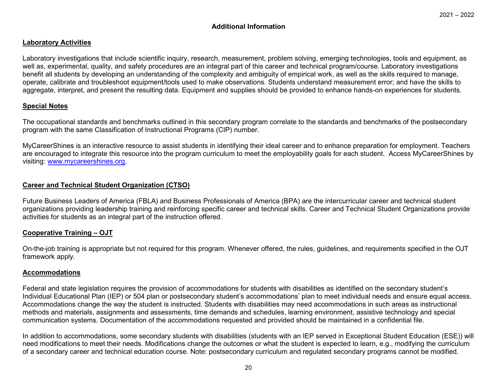# **Additional Information**

#### **Laboratory Activities**

Laboratory investigations that include scientific inquiry, research, measurement, problem solving, emerging technologies, tools and equipment, as well as, experimental, quality, and safety procedures are an integral part of this career and technical program/course. Laboratory investigations benefit all students by developing an understanding of the complexity and ambiguity of empirical work, as well as the skills required to manage, operate, calibrate and troubleshoot equipment/tools used to make observations. Students understand measurement error; and have the skills to aggregate, interpret, and present the resulting data. Equipment and supplies should be provided to enhance hands-on experiences for students.

### **Special Notes**

The occupational standards and benchmarks outlined in this secondary program correlate to the standards and benchmarks of the postsecondary program with the same Classification of Instructional Programs (CIP) number.

MyCareerShines is an interactive resource to assist students in identifying their ideal career and to enhance preparation for employment. Teachers are encouraged to integrate this resource into the program curriculum to meet the employability goals for each student. Access MyCareerShines by visiting: [www.mycareershines.org.](http://www.mycareershines.org/)

### **Career and Technical Student Organization (CTSO)**

Future Business Leaders of America (FBLA) and Business Professionals of America (BPA) are the intercurricular career and technical student organizations providing leadership training and reinforcing specific career and technical skills. Career and Technical Student Organizations provide activities for students as an integral part of the instruction offered.

#### **Cooperative Training – OJT**

On-the-job training is appropriate but not required for this program. Whenever offered, the rules, guidelines, and requirements specified in the OJT framework apply.

#### **Accommodations**

Federal and state legislation requires the provision of accommodations for students with disabilities as identified on the secondary student's Individual Educational Plan (IEP) or 504 plan or postsecondary student's accommodations' plan to meet individual needs and ensure equal access. Accommodations change the way the student is instructed. Students with disabilities may need accommodations in such areas as instructional methods and materials, assignments and assessments, time demands and schedules, learning environment, assistive technology and special communication systems. Documentation of the accommodations requested and provided should be maintained in a confidential file.

In addition to accommodations, some secondary students with disabilities (students with an IEP served in Exceptional Student Education (ESE)) will need modifications to meet their needs. Modifications change the outcomes or what the student is expected to learn, e.g., modifying the curriculum of a secondary career and technical education course. Note: postsecondary curriculum and regulated secondary programs cannot be modified.